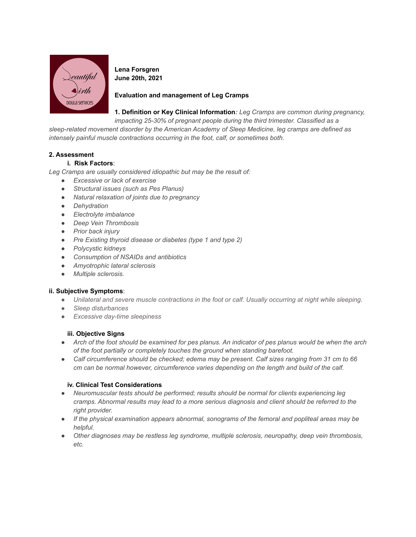

**Lena Forsgren June 20th, 2021**

# **Evaluation and management of Leg Cramps**

**1. Definition or Key Clinical Information***: Leg Cramps are common during pregnancy,*

*impacting 25-30% of pregnant people during the third trimester. Classified as a sleep-related movement disorder by the American Academy of Sleep Medicine, leg cramps are defined as*

*intensely painful muscle contractions occurring in the foot, calf, or sometimes both.*

## **2. Assessment**

## **i. Risk Factors**:

*Leg Cramps are usually considered idiopathic but may be the result of:*

- *● Excessive or lack of exercise*
- *● Structural issues (such as Pes Planus)*
- *● Natural relaxation of joints due to pregnancy*
- *● Dehydration*
- *● Electrolyte imbalance*
- *● Deep Vein Thrombosis*
- *● Prior back injury*
- *● Pre Existing thyroid disease or diabetes (type 1 and type 2)*
- *● Polycystic kidneys*
- *● Consumption of NSAIDs and antibiotics*
- *● Amyotrophic lateral sclerosis*
- *● Multiple sclerosis.*

### **ii. Subjective Symptoms**:

- Unilateral and severe muscle contractions in the foot or calf. Usually occurring at night while sleeping.
- *● Sleep disturbances*
- *● Excessive day-time sleepiness*

### **iii. Objective Signs**

- Arch of the foot should be examined for pes planus. An indicator of pes planus would be when the arch *of the foot partially or completely touches the ground when standing barefoot.*
- *● Calf circumference should be checked; edema may be present. Calf sizes ranging from 31 cm to 66 cm can be normal however, circumference varies depending on the length and build of the calf.*

### **iv. Clinical Test Considerations**

- *● Neuromuscular tests should be performed; results should be normal for clients experiencing leg cramps. Abnormal results may lead to a more serious diagnosis and client should be referred to the right provider.*
- *● If the physical examination appears abnormal, sonograms of the femoral and popliteal areas may be helpful.*
- *● Other diagnoses may be restless leg syndrome, multiple sclerosis, neuropathy, deep vein thrombosis, etc.*